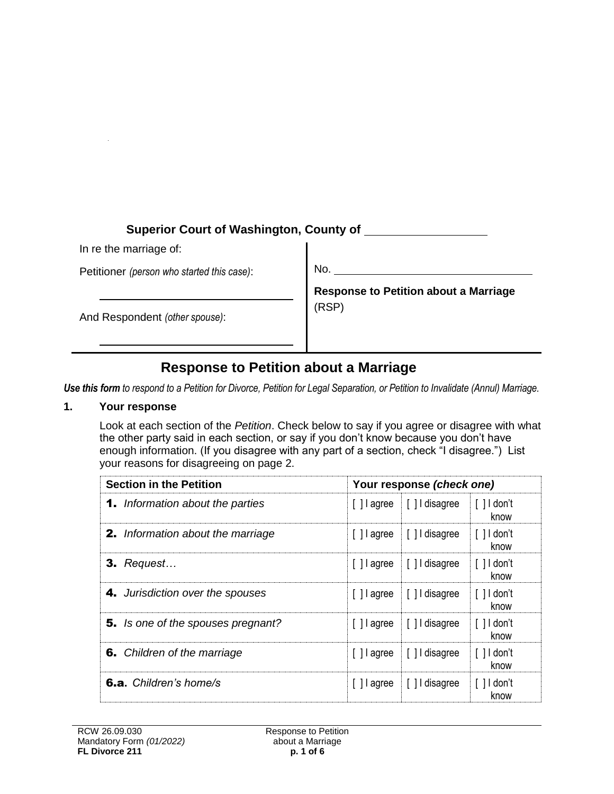# **Superior Court of Washington, County of**

In re the marriage of:

Petitioner *(person who started this case)*:

No.

And Respondent *(other spouse)*:

**Response to Petition about a Marriage** (RSP)

# **Response to Petition about a Marriage**

*Use this form to respond to a Petition for Divorce, Petition for Legal Separation, or Petition to Invalidate (Annul) Marriage.* 

#### **1. Your response**

Look at each section of the *Petition*. Check below to say if you agree or disagree with what the other party said in each section, or say if you don't know because you don't have enough information. (If you disagree with any part of a section, check "I disagree.") List your reasons for disagreeing on page 2.

| <b>Section in the Petition</b>            |             | Your response <i>(check one)</i>     |                                           |  |
|-------------------------------------------|-------------|--------------------------------------|-------------------------------------------|--|
| <b>1.</b> Information about the parties   |             | [] agree [] disagree                 | $\lceil$ $\rceil$ $\rfloor$ don't<br>know |  |
| <b>2.</b> Information about the marriage  |             | [] agree [] disagree                 | $\lceil$ $\rceil$ I don't<br>know         |  |
| $3.$ Request                              |             | [] agree [[] disagree                | $\lceil$   I don't<br>know                |  |
| <b>4.</b> Jurisdiction over the spouses   | [ ] agree   | [ ] I disagree                       | $\lceil$   I don't<br>know                |  |
| <b>5.</b> Is one of the spouses pregnant? |             | $\lceil$   agree $\lceil$   disagree | $\lceil$   I don't<br>know                |  |
| <b>6.</b> Children of the marriage        | [ ] l agree | [ ] I disagree                       | $\lceil$   I don't<br>know                |  |
| <b>6.a.</b> Children's home/s             | [ ] l agree | [ ] I disagree                       | $\lceil$ $\rceil$ $\rfloor$ don't<br>know |  |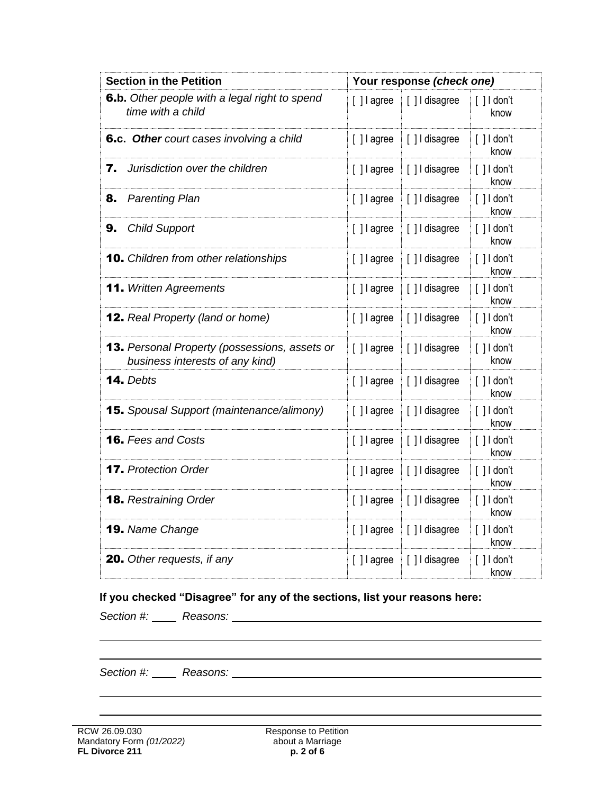| <b>Section in the Petition</b>                                                          |               | Your response (check one) |                                           |
|-----------------------------------------------------------------------------------------|---------------|---------------------------|-------------------------------------------|
| 6.b. Other people with a legal right to spend<br>time with a child                      | [ ] l agree   | [] I disagree             | $\lceil$ $\rceil$ I don't<br>know         |
| 6.c. Other court cases involving a child                                                | [] agree      | [] I disagree             | $[ ]$ I don't<br>know                     |
| Jurisdiction over the children<br>7.                                                    | $[ ]$ l agree | [] I disagree             | $\lceil$ $\rceil$ I don't<br>know         |
| 8.<br><b>Parenting Plan</b>                                                             | [ ] l agree   | [] I disagree             | $\lceil$ $\rceil$ $\rceil$ don't<br>know  |
| 9.<br><b>Child Support</b>                                                              | [ ] l agree   | [ ] I disagree            | $\lceil$ $\rceil$ $\rfloor$ don't<br>know |
| <b>10.</b> Children from other relationships                                            | [] agree      | [] I disagree             | $[ ]$ I don't<br>know                     |
| <b>11.</b> Written Agreements                                                           | [] agree      | [] I disagree             | $[ ]$ I don't<br>know                     |
| <b>12.</b> Real Property (land or home)                                                 | [] lagree     | [] I disagree             | $[ ]$ I don't<br>know                     |
| <b>13.</b> Personal Property (possessions, assets or<br>business interests of any kind) | [] agree      | [] I disagree             | $\lceil$ $\rceil$ $\rceil$ don't<br>know  |
| 14. Debts                                                                               | [] agree      | [] I disagree             | $[ ]$ I don't<br>know                     |
| <b>15.</b> Spousal Support (maintenance/alimony)                                        | [] agree      | [] I disagree             | $[ ]$ I don't<br>know                     |
| <b>16.</b> Fees and Costs                                                               | [] agree      | [] I disagree             | $\lceil$   $\rfloor$ don't<br>know        |
| <b>17.</b> Protection Order                                                             | $[ ]$ l agree | [] I disagree             | $\lceil$   $\rfloor$ don't<br>know        |
| <b>18.</b> Restraining Order                                                            | $[ ]$ l agree | [] I disagree             | $\lceil$ $\rceil$ $\rceil$ don't<br>know  |
| 19. Name Change                                                                         | [] agree      | [] I disagree             | $\lceil$   $\rfloor$ don't<br>know        |
| <b>20.</b> Other requests, if any                                                       | [] lagree     | [] I disagree             | $\lceil$ $\rceil$ $\rceil$ don't<br>know  |

# **If you checked "Disagree" for any of the sections, list your reasons here:**

*Section #: Reasons:*

*Section #: Reasons:*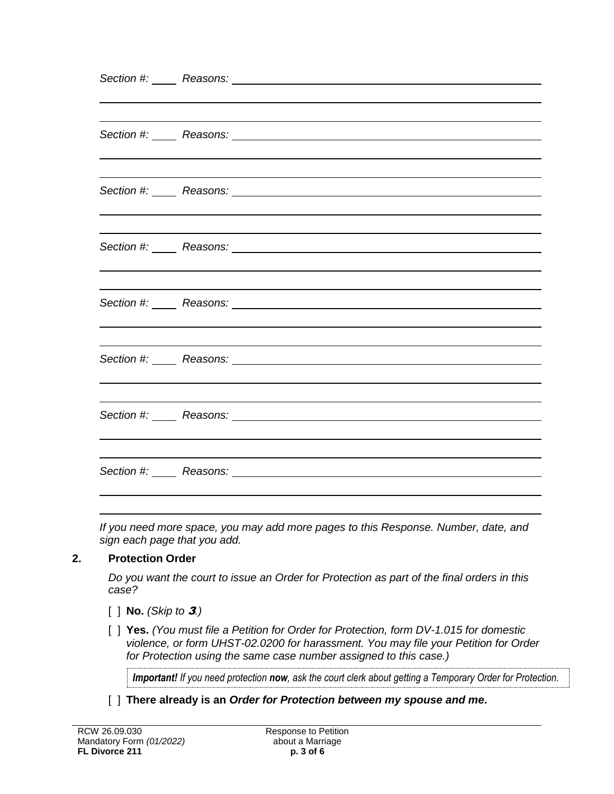| Section #: Reasons: <u>Container and the section</u> and the section of the section of the section of the section of the section of the section of the section of the section of the section of the section of the section of the s |
|-------------------------------------------------------------------------------------------------------------------------------------------------------------------------------------------------------------------------------------|
|                                                                                                                                                                                                                                     |
|                                                                                                                                                                                                                                     |
|                                                                                                                                                                                                                                     |
|                                                                                                                                                                                                                                     |
|                                                                                                                                                                                                                                     |

*If you need more space, you may add more pages to this Response. Number, date, and sign each page that you add.* 

#### **2. Protection Order**

*Do you want the court to issue an Order for Protection as part of the final orders in this case?*

- [ ] **No.** *(Skip to* 3*.)*
- [ ] **Yes.** *(You must file a Petition for Order for Protection, form DV-1.015 for domestic violence, or form UHST-02.0200 for harassment. You may file your Petition for Order for Protection using the same case number assigned to this case.)*

*Important! If you need protection now, ask the court clerk about getting a Temporary Order for Protection.*

[ ] **There already is an** *Order for Protection between my spouse and me***.**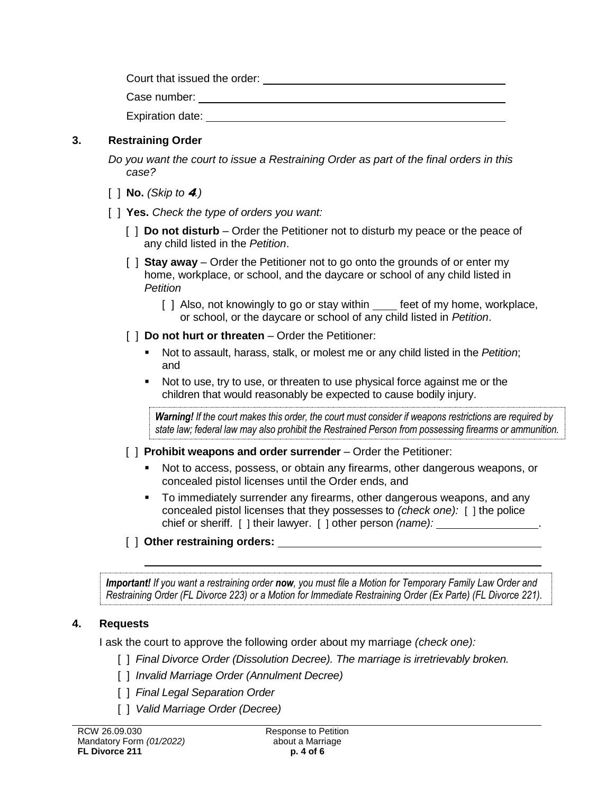Court that issued the order:

Expiration date: **Expiration** date:

### **3. Restraining Order**

*Do you want the court to issue a Restraining Order as part of the final orders in this case?* 

[ ] **No.** *(Skip to* 4*.)* 

#### [ ] **Yes.** *Check the type of orders you want:*

- [ ] **Do not disturb** Order the Petitioner not to disturb my peace or the peace of any child listed in the *Petition*.
- [ ] **Stay away** Order the Petitioner not to go onto the grounds of or enter my home, workplace, or school, and the daycare or school of any child listed in *Petition*
	- [ ] Also, not knowingly to go or stay within feet of my home, workplace, or school, or the daycare or school of any child listed in *Petition*.
- [  $\vert$  **Do not hurt or threaten** Order the Petitioner:
	- Not to assault, harass, stalk, or molest me or any child listed in the *Petition*; and
	- Not to use, try to use, or threaten to use physical force against me or the children that would reasonably be expected to cause bodily injury.

*Warning! If the court makes this order, the court must consider if weapons restrictions are required by state law; federal law may also prohibit the Restrained Person from possessing firearms or ammunition.*

- [ ] **Prohibit weapons and order surrender** Order the Petitioner:
	- Not to access, possess, or obtain any firearms, other dangerous weapons, or concealed pistol licenses until the Order ends, and
	- To immediately surrender any firearms, other dangerous weapons, and any concealed pistol licenses that they possesses to *(check one):* [ ] the police chief or sheriff. [ ] their lawyer. [ ] other person *(name):* .

## [ ] **Other restraining orders:**

*Important! If you want a restraining order now, you must file a Motion for Temporary Family Law Order and Restraining Order (FL Divorce 223) or a Motion for Immediate Restraining Order (Ex Parte) (FL Divorce 221).*

## **4. Requests**

I ask the court to approve the following order about my marriage *(check one):*

- [ ] *Final Divorce Order (Dissolution Decree). The marriage is irretrievably broken.*
- [ ] *Invalid Marriage Order (Annulment Decree)*
- [ ] *Final Legal Separation Order*
- [ ] *Valid Marriage Order (Decree)*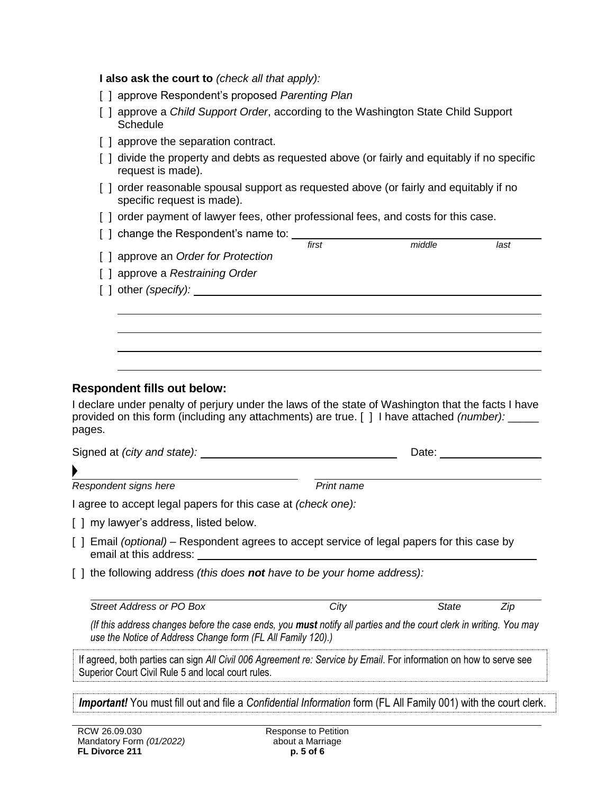**I also ask the court to** *(check all that apply):*

- [ ] approve Respondent's proposed *Parenting Plan*
- [ ] approve a *Child Support Order*, according to the Washington State Child Support **Schedule**
- [] approve the separation contract.
- [ ] divide the property and debts as requested above (or fairly and equitably if no specific request is made).
- [] order reasonable spousal support as requested above (or fairly and equitably if no specific request is made).
- [ ] order payment of lawyer fees, other professional fees, and costs for this case.
- [ ] change the Respondent's name to: *first middle last* [ ] approve an *Order for Protection*  [ ] approve a *Restraining Order* [ ] other *(specify):*

#### **Respondent fills out below:**

I declare under penalty of perjury under the laws of the state of Washington that the facts I have provided on this form (including any attachments) are true. [ ] I have attached *(number):* \_\_\_\_\_ pages.

| Signed at (city and state): | Date:      |
|-----------------------------|------------|
|                             |            |
| Respondent signs here       | Print name |

I agree to accept legal papers for this case at *(check one):*

[ ] my lawyer's address, listed below.

- [ ] Email *(optional)* Respondent agrees to accept service of legal papers for this case by email at this address:
- [ ] the following address *(this does not have to be your home address):*

| Street Address or PO Box                                                                                                                                                                 | City | State | Zip |
|------------------------------------------------------------------------------------------------------------------------------------------------------------------------------------------|------|-------|-----|
| (If this address changes before the case ends, you <b>must</b> notify all parties and the court clerk in writing. You may<br>use the Notice of Address Change form (FL All Family 120).) |      |       |     |

If agreed, both parties can sign *All Civil 006 Agreement re: Service by Email*. For information on how to serve see Superior Court Civil Rule 5 and local court rules.

*Important!* You must fill out and file a *Confidential Information* form (FL All Family 001) with the court clerk.